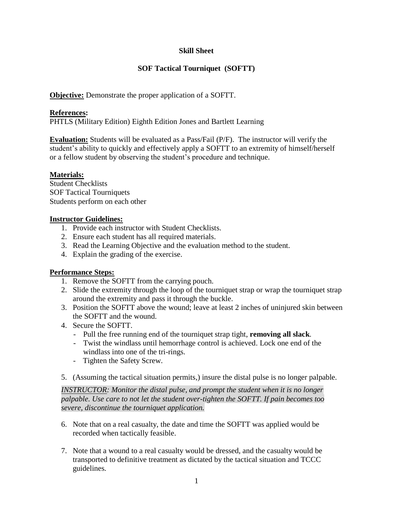## **Skill Sheet**

## **SOF Tactical Tourniquet (SOFTT)**

**Objective:** Demonstrate the proper application of a SOFTT.

#### **References:**

PHTLS (Military Edition) Eighth Edition Jones and Bartlett Learning

**Evaluation:** Students will be evaluated as a Pass/Fail (P/F). The instructor will verify the student's ability to quickly and effectively apply a SOFTT to an extremity of himself/herself or a fellow student by observing the student's procedure and technique.

### **Materials:**

Student Checklists SOF Tactical Tourniquets Students perform on each other

#### **Instructor Guidelines:**

- 1. Provide each instructor with Student Checklists.
- 2. Ensure each student has all required materials.
- 3. Read the Learning Objective and the evaluation method to the student.
- 4. Explain the grading of the exercise.

### **Performance Steps:**

- 1. Remove the SOFTT from the carrying pouch.
- 2. Slide the extremity through the loop of the tourniquet strap or wrap the tourniquet strap around the extremity and pass it through the buckle.
- 3. Position the SOFTT above the wound; leave at least 2 inches of uninjured skin between the SOFTT and the wound.
- 4. Secure the SOFTT.
	- Pull the free running end of the tourniquet strap tight, **removing all slack**.
	- Twist the windlass until hemorrhage control is achieved. Lock one end of the windlass into one of the tri-rings.
	- Tighten the Safety Screw.
- 5. (Assuming the tactical situation permits,) insure the distal pulse is no longer palpable.

*INSTRUCTOR: Monitor the distal pulse, and prompt the student when it is no longer palpable. Use care to not let the student over-tighten the SOFTT. If pain becomes too severe, discontinue the tourniquet application.*

- 6. Note that on a real casualty, the date and time the SOFTT was applied would be recorded when tactically feasible.
- 7. Note that a wound to a real casualty would be dressed, and the casualty would be transported to definitive treatment as dictated by the tactical situation and TCCC guidelines.